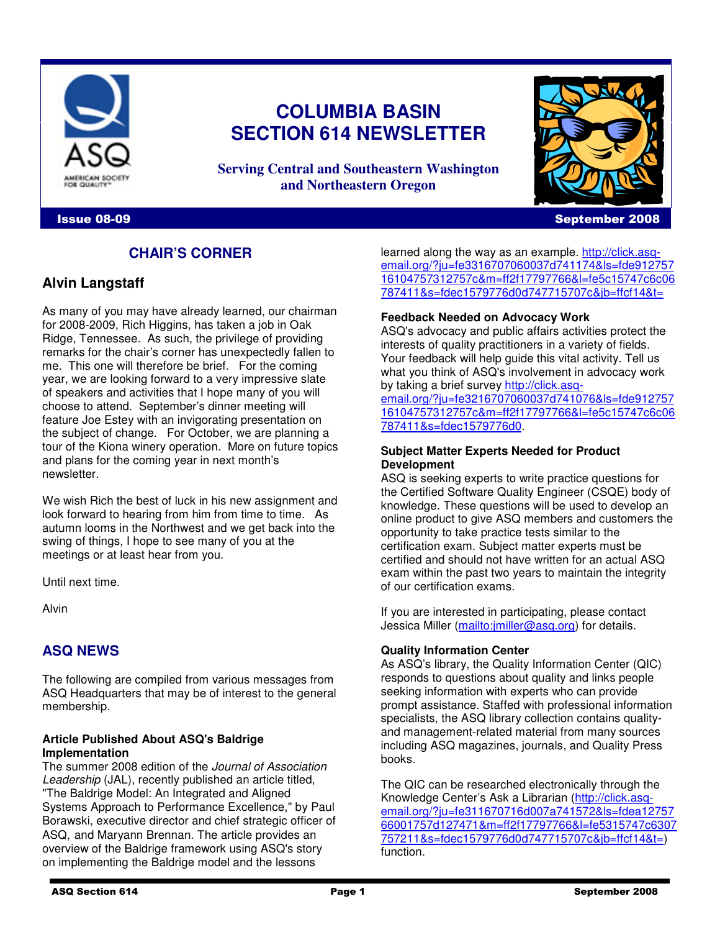

# **COLUMBIA BASIN SECTION 614 NEWSLETTER**

**Serving Central and Southeastern Washington and Northeastern Oregon**

#### Issue 08-09 September 2008

# **CHAIR'S CORNER**

# **Alvin Langstaff**

As many of you may have already learned, our chairman for 2008-2009, Rich Higgins, has taken a job in Oak Ridge, Tennessee. As such, the privilege of providing remarks for the chair's corner has unexpectedly fallen to me. This one will therefore be brief. For the coming year, we are looking forward to a very impressive slate of speakers and activities that I hope many of you will choose to attend. September's dinner meeting will feature Joe Estey with an invigorating presentation on the subject of change. For October, we are planning a tour of the Kiona winery operation. More on future topics and plans for the coming year in next month's newsletter.

We wish Rich the best of luck in his new assignment and look forward to hearing from him from time to time. As autumn looms in the Northwest and we get back into the swing of things, I hope to see many of you at the meetings or at least hear from you.

Until next time.

Alvin

# **ASQ NEWS**

The following are compiled from various messages from ASQ Headquarters that may be of interest to the general membership.

#### **Article Published About ASQ's Baldrige Implementation**

The summer 2008 edition of the Journal of Association Leadership (JAL), recently published an article titled, "The Baldrige Model: An Integrated and Aligned Systems Approach to Performance Excellence," by Paul Borawski, executive director and chief strategic officer of ASQ, and Maryann Brennan. The article provides an overview of the Baldrige framework using ASQ's story on implementing the Baldrige model and the lessons

learned along the way as an example. http://click.asqemail.org/?ju=fe3316707060037d741174&ls=fde912757 16104757312757c&m=ff2f17797766&l=fe5c15747c6c06 787411&s=fdec1579776d0d747715707c&jb=ffcf14&t=

#### **Feedback Needed on Advocacy Work**

ASQ's advocacy and public affairs activities protect the interests of quality practitioners in a variety of fields. Your feedback will help guide this vital activity. Tell us what you think of ASQ's involvement in advocacy work by taking a brief survey http://click.asq-

email.org/?ju=fe3216707060037d741076&ls=fde912757 16104757312757c&m=ff2f17797766&l=fe5c15747c6c06 787411&s=fdec1579776d0.

#### **Subject Matter Experts Needed for Product Development**

ASQ is seeking experts to write practice questions for the Certified Software Quality Engineer (CSQE) body of knowledge. These questions will be used to develop an online product to give ASQ members and customers the opportunity to take practice tests similar to the certification exam. Subject matter experts must be certified and should not have written for an actual ASQ exam within the past two years to maintain the integrity of our certification exams.

If you are interested in participating, please contact Jessica Miller (mailto: imiller@asq.org) for details.

#### **Quality Information Center**

As ASQ's library, the Quality Information Center (QIC) responds to questions about quality and links people seeking information with experts who can provide prompt assistance. Staffed with professional information specialists, the ASQ library collection contains qualityand management-related material from many sources including ASQ magazines, journals, and Quality Press books.

The QIC can be researched electronically through the Knowledge Center's Ask a Librarian (http://click.asqemail.org/?ju=fe311670716d007a741572&ls=fdea12757 66001757d127471&m=ff2f17797766&l=fe5315747c6307 757211&s=fdec1579776d0d747715707c&jb=ffcf14&t=) function.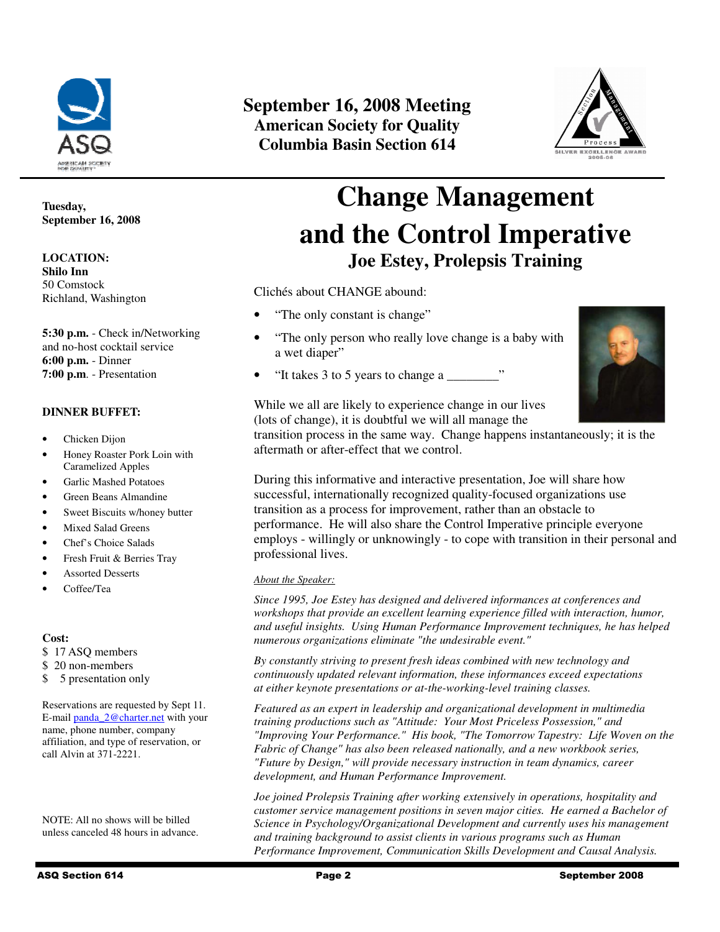

#### **Tuesday, September 16, 2008**

**LOCATION: Shilo Inn**  50 Comstock Richland, Washington

**5:30 p.m.** - Check in/Networking and no-host cocktail service **6:00 p.m.** - Dinner **7:00 p.m**. - Presentation

#### **DINNER BUFFET:**

- Chicken Dijon
- Honey Roaster Pork Loin with Caramelized Apples
- Garlic Mashed Potatoes
- Green Beans Almandine
- Sweet Biscuits w/honey butter
- Mixed Salad Greens
- Chef's Choice Salads
- Fresh Fruit & Berries Tray
- Assorted Desserts
- Coffee/Tea

#### **Cost:**

- \$ 17 ASQ members
- \$ 20 non-members
- \$ 5 presentation only

Reservations are requested by Sept 11. E-mail panda\_2@charter.net with your name, phone number, company affiliation, and type of reservation, or call Alvin at 371-2221.

NOTE: All no shows will be billed unless canceled 48 hours in advance.

# **September 16, 2008 Meeting American Society for Quality Columbia Basin Section 614**



# **Change Management and the Control Imperative Joe Estey, Prolepsis Training**

Clichés about CHANGE abound:

- "The only constant is change"
- "The only person who really love change is a baby with a wet diaper"
- "It takes 3 to 5 years to change a \_\_\_\_\_\_\_\_"



While we all are likely to experience change in our lives (lots of change), it is doubtful we will all manage the

transition process in the same way. Change happens instantaneously; it is the aftermath or after-effect that we control.

During this informative and interactive presentation, Joe will share how successful, internationally recognized quality-focused organizations use transition as a process for improvement, rather than an obstacle to performance. He will also share the Control Imperative principle everyone employs - willingly or unknowingly - to cope with transition in their personal and professional lives.

#### *About the Speaker:*

*Since 1995, Joe Estey has designed and delivered informances at conferences and workshops that provide an excellent learning experience filled with interaction, humor, and useful insights. Using Human Performance Improvement techniques, he has helped numerous organizations eliminate "the undesirable event."* 

*By constantly striving to present fresh ideas combined with new technology and continuously updated relevant information, these informances exceed expectations at either keynote presentations or at-the-working-level training classes.* 

*Featured as an expert in leadership and organizational development in multimedia training productions such as "Attitude: Your Most Priceless Possession," and "Improving Your Performance." His book, "The Tomorrow Tapestry: Life Woven on the Fabric of Change" has also been released nationally, and a new workbook series, "Future by Design," will provide necessary instruction in team dynamics, career development, and Human Performance Improvement.* 

*Joe joined Prolepsis Training after working extensively in operations, hospitality and customer service management positions in seven major cities. He earned a Bachelor of Science in Psychology/Organizational Development and currently uses his management and training background to assist clients in various programs such as Human Performance Improvement, Communication Skills Development and Causal Analysis.*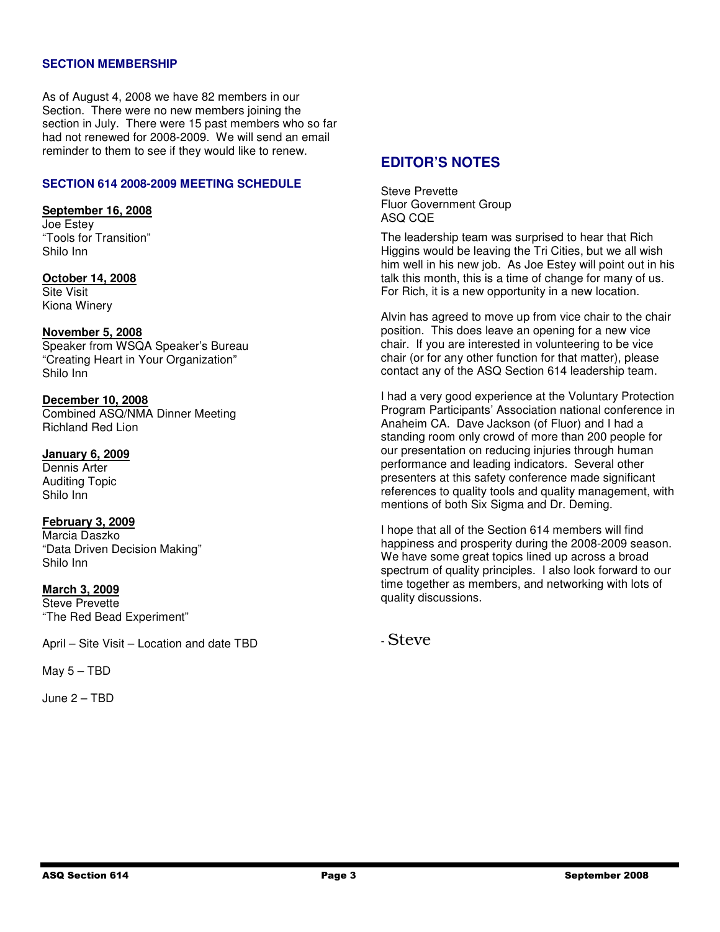#### **SECTION MEMBERSHIP**

As of August 4, 2008 we have 82 members in our Section. There were no new members joining the section in July. There were 15 past members who so far had not renewed for 2008-2009. We will send an email reminder to them to see if they would like to renew.

#### **SECTION 614 2008-2009 MEETING SCHEDULE**

#### **September 16, 2008**

Joe Estey "Tools for Transition" Shilo Inn

#### **October 14, 2008** Site Visit Kiona Winery

**November 5, 2008** Speaker from WSQA Speaker's Bureau "Creating Heart in Your Organization" Shilo Inn

**December 10, 2008**  Combined ASQ/NMA Dinner Meeting Richland Red Lion

#### **January 6, 2009**

Dennis Arter Auditing Topic Shilo Inn

# **February 3, 2009**

Marcia Daszko "Data Driven Decision Making" Shilo Inn

#### **March 3, 2009**

Steve Prevette "The Red Bead Experiment"

April – Site Visit – Location and date TBD

May 5 – TBD

June 2 – TBD

# **EDITOR'S NOTES**

Steve Prevette Fluor Government Group ASQ CQE

The leadership team was surprised to hear that Rich Higgins would be leaving the Tri Cities, but we all wish him well in his new job. As Joe Estey will point out in his talk this month, this is a time of change for many of us. For Rich, it is a new opportunity in a new location.

Alvin has agreed to move up from vice chair to the chair position. This does leave an opening for a new vice chair. If you are interested in volunteering to be vice chair (or for any other function for that matter), please contact any of the ASQ Section 614 leadership team.

I had a very good experience at the Voluntary Protection Program Participants' Association national conference in Anaheim CA. Dave Jackson (of Fluor) and I had a standing room only crowd of more than 200 people for our presentation on reducing injuries through human performance and leading indicators. Several other presenters at this safety conference made significant references to quality tools and quality management, with mentions of both Six Sigma and Dr. Deming.

I hope that all of the Section 614 members will find happiness and prosperity during the 2008-2009 season. We have some great topics lined up across a broad spectrum of quality principles. I also look forward to our time together as members, and networking with lots of quality discussions.

- Steve